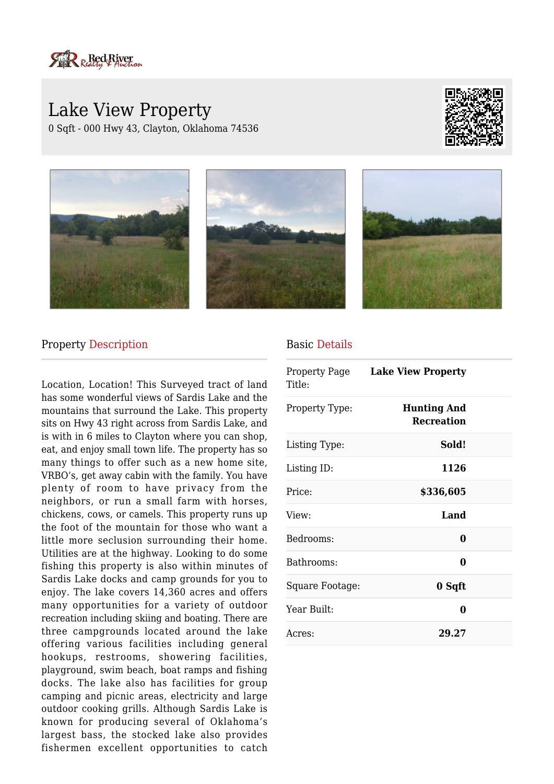

# Lake View Property 0 Sqft - 000 Hwy 43, Clayton, Oklahoma 74536









#### Property Description

Location, Location! This Surveyed tract of land has some wonderful views of Sardis Lake and the mountains that surround the Lake. This property sits on Hwy 43 right across from Sardis Lake, and is with in 6 miles to Clayton where you can shop, eat, and enjoy small town life. The property has so many things to offer such as a new home site, VRBO's, get away cabin with the family. You have plenty of room to have privacy from the neighbors, or run a small farm with horses, chickens, cows, or camels. This property runs up the foot of the mountain for those who want a little more seclusion surrounding their home. Utilities are at the highway. Looking to do some fishing this property is also within minutes of Sardis Lake docks and camp grounds for you to enjoy. The lake covers 14,360 acres and offers many opportunities for a variety of outdoor recreation including skiing and boating. There are three campgrounds located around the lake offering various facilities including general hookups, restrooms, showering facilities, playground, swim beach, boat ramps and fishing docks. The lake also has facilities for group camping and picnic areas, electricity and large outdoor cooking grills. Although Sardis Lake is known for producing several of Oklahoma's largest bass, the stocked lake also provides fishermen excellent opportunities to catch

#### Basic Details

| Property Page<br>Title: | <b>Lake View Property</b>               |  |
|-------------------------|-----------------------------------------|--|
| Property Type:          | <b>Hunting And</b><br><b>Recreation</b> |  |
| Listing Type:           | Sold!                                   |  |
| Listing ID:             | 1126                                    |  |
| Price:                  | \$336,605                               |  |
| View:                   | Land                                    |  |
| Bedrooms:               | 0                                       |  |
| Bathrooms:              | 0                                       |  |
| Square Footage:         | 0 Sqft                                  |  |
| Year Built:             | 0                                       |  |
| Acres:                  | 29.27                                   |  |